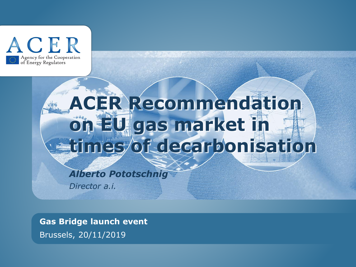

# **ACER Recommendation on EU gas market in times of decarbonisation**

# *Alberto Pototschnig*

*Director a.i.*

**Gas Bridge launch event**

Brussels, 20/11/2019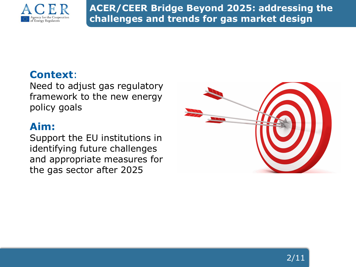

**ACER/CEER Bridge Beyond 2025: addressing the challenges and trends for gas market design**

## **Context**:

Need to adjust gas regulatory framework to the new energy policy goals

## **Aim:**

Support the EU institutions in identifying future challenges and appropriate measures for the gas sector after 2025

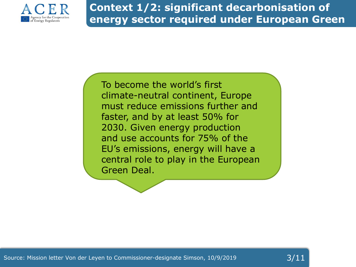

**Deal**

## **Context 1/2: significant decarbonisation of energy sector required under European Green**

To become the world's first climate-neutral continent, Europe must reduce emissions further and faster, and by at least 50% for 2030. Given energy production and use accounts for 75% of the EU's emissions, energy will have a central role to play in the European Green Deal.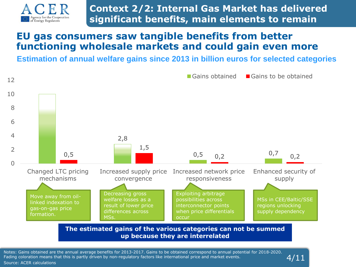

**Context 2/2: Internal Gas Market has delivered significant benefits, main elements to remain**

#### **EU gas consumers saw tangible benefits from better functioning wholesale markets and could gain even more**

**Estimation of annual welfare gains since 2013 in billion euros for selected categories**



**The estimated gains of the various categories can not be summed up because they are interrelated**

4/11

Notes: Gains obtained are the annual average benefits for 2013-2017. Gains to be obtained correspond to annual potential for 2018-2020. Fading coloration means that this is partly driven by non-regulatory factors like international price and market events. Source: ACER calculations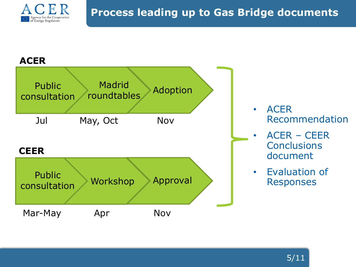

#### **ACER**

| <b>Madrid</b><br><b>Public</b><br>Adoption<br>roundtables<br>consultation |          |          |  |
|---------------------------------------------------------------------------|----------|----------|--|
| Jul                                                                       | May, Oct | Nov      |  |
| <b>CEER</b>                                                               |          |          |  |
| <b>Public</b><br>consultation                                             | Workshop | Approval |  |
| Mar-May                                                                   | Apr      | Nov      |  |

- ACER Recommendation
- ACER CEER **Conclusions** document
- Evaluation of Responses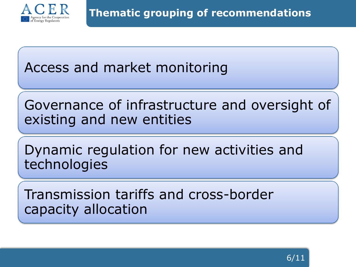

Access and market monitoring

Governance of infrastructure and oversight of existing and new entities

Dynamic regulation for new activities and technologies

Transmission tariffs and cross-border capacity allocation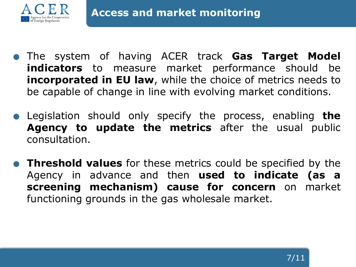

- . The system of having ACER track **Gas Target Model indicators** to measure market performance should be **incorporated in EU law**, while the choice of metrics needs to be capable of change in line with evolving market conditions.
- . Legislation should only specify the process, enabling **the Agency to update the metrics** after the usual public consultation.
- . **Threshold values** for these metrics could be specified by the Agency in advance and then **used to indicate (as a screening mechanism) cause for concern** on market functioning grounds in the gas wholesale market.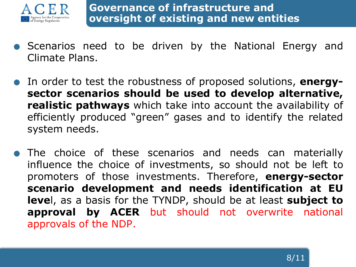

- . Scenarios need to be driven by the National Energy and Climate Plans.
- . In order to test the robustness of proposed solutions, **energysector scenarios should be used to develop alternative, realistic pathways** which take into account the availability of efficiently produced "green" gases and to identify the related system needs.
- . The choice of these scenarios and needs can materially influence the choice of investments, so should not be left to promoters of those investments. Therefore, **energy-sector scenario development and needs identification at EU leve**l, as a basis for the TYNDP, should be at least **subject to approval by ACER** but should not overwrite national approvals of the NDP.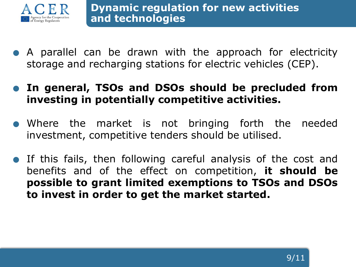

- . <sup>A</sup> parallel can be drawn with the approach for electricity storage and recharging stations for electric vehicles (CEP).
- . **In general, TSOs and DSOs should be precluded from investing in potentially competitive activities.**
- . Where the market is not bringing forth the needed investment, competitive tenders should be utilised.
- . If this fails, then following careful analysis of the cost and benefits and of the effect on competition, **it should be possible to grant limited exemptions to TSOs and DSOs to invest in order to get the market started.**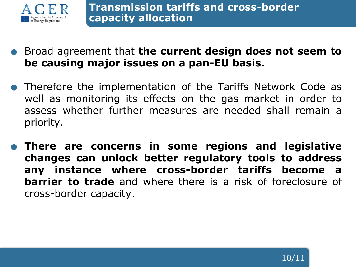

- . Broad agreement that **the current design does not seem to be causing major issues on a pan-EU basis.**
- . Therefore the implementation of the Tariffs Network Code as well as monitoring its effects on the gas market in order to assess whether further measures are needed shall remain a priority.
- . **There are concerns in some regions and legislative changes can unlock better regulatory tools to address any instance where cross-border tariffs become a barrier to trade** and where there is a risk of foreclosure of cross-border capacity.